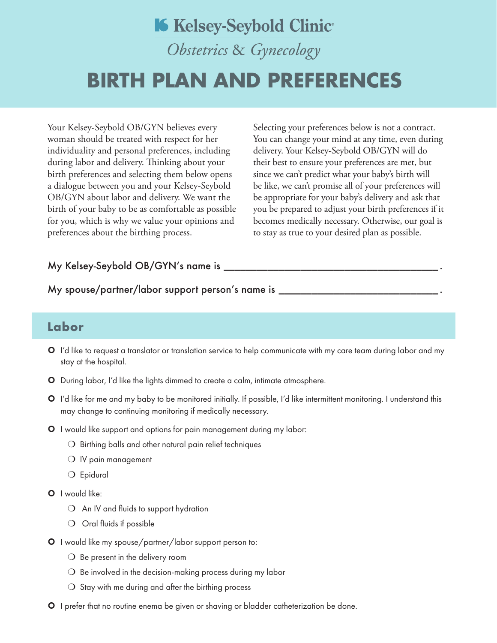# K Kelsey-Seybold Clinic®

# Obstetrics & Gynecology

# **BIRTH PLAN AND PREFERENCES**

Your Kelsey-Seybold OB/GYN believes every woman should be treated with respect for her individuality and personal preferences, including during labor and delivery. Thinking about your birth preferences and selecting them below opens a dialogue between you and your Kelsey-Seybold OB/GYN about labor and delivery. We want the birth of your baby to be as comfortable as possible for you, which is why we value your opinions and preferences about the birthing process.

Selecting your preferences below is not a contract. You can change your mind at any time, even during delivery. Your Kelsey-Seybold OB/GYN will do their best to ensure your preferences are met, but since we can't predict what your baby's birth will be like, we can't promise all of your preferences will be appropriate for your baby's delivery and ask that you be prepared to adjust your birth preferences if it becomes medically necessary. Otherwise, our goal is to stay as true to your desired plan as possible.

#### My Kelsey-Seybold OB/GYN's name is \_\_\_\_\_\_\_\_\_\_\_\_\_\_\_\_\_\_\_\_\_\_\_\_\_\_\_\_\_\_\_\_\_\_\_\_\_\_\_ .

My spouse/partner/labor support person's name is \_\_\_\_\_\_\_\_\_\_\_\_\_\_\_\_\_\_\_\_\_\_\_\_\_\_\_\_\_\_\_

#### **Labor**

- O I'd like to request a translator or translation service to help communicate with my care team during labor and my stay at the hospital.
- | During labor, I'd like the lights dimmed to create a calm, intimate atmosphere.
- | I'd like for me and my baby to be monitored initially. If possible, I'd like intermittent monitoring. I understand this may change to continuing monitoring if medically necessary.
- **O** I would like support and options for pain management during my labor:
	- ❍ Birthing balls and other natural pain relief techniques
	- ❍ IV pain management
	- ❍ Epidural
- O I would like:
	- ❍ An IV and fluids to support hydration
	- ❍ Oral fluids if possible
- O I would like my spouse/partner/labor support person to:
	- $\bigcirc$  Be present in the delivery room
	- $\bigcirc$  Be involved in the decision-making process during my labor
	- $\bigcirc$  Stay with me during and after the birthing process
- **O** I prefer that no routine enema be given or shaving or bladder catheterization be done.